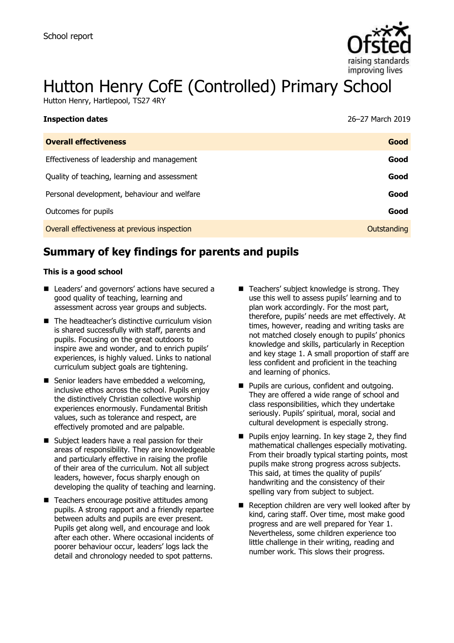

# Hutton Henry CofE (Controlled) Primary School

Hutton Henry, Hartlepool, TS27 4RY

| 26-27 March 2019 |
|------------------|
| Good             |
| Good             |
| Good             |
| Good             |
| Good             |
| Outstanding      |
|                  |

# **Summary of key findings for parents and pupils**

#### **This is a good school**

- Leaders' and governors' actions have secured a good quality of teaching, learning and assessment across year groups and subjects.
- The headteacher's distinctive curriculum vision is shared successfully with staff, parents and pupils. Focusing on the great outdoors to inspire awe and wonder, and to enrich pupils' experiences, is highly valued. Links to national curriculum subject goals are tightening.
- Senior leaders have embedded a welcoming, inclusive ethos across the school. Pupils enjoy the distinctively Christian collective worship experiences enormously. Fundamental British values, such as tolerance and respect, are effectively promoted and are palpable.
- Subject leaders have a real passion for their areas of responsibility. They are knowledgeable and particularly effective in raising the profile of their area of the curriculum. Not all subject leaders, however, focus sharply enough on developing the quality of teaching and learning.
- Teachers encourage positive attitudes among pupils. A strong rapport and a friendly repartee between adults and pupils are ever present. Pupils get along well, and encourage and look after each other. Where occasional incidents of poorer behaviour occur, leaders' logs lack the detail and chronology needed to spot patterns.
- Teachers' subject knowledge is strong. They use this well to assess pupils' learning and to plan work accordingly. For the most part, therefore, pupils' needs are met effectively. At times, however, reading and writing tasks are not matched closely enough to pupils' phonics knowledge and skills, particularly in Reception and key stage 1. A small proportion of staff are less confident and proficient in the teaching and learning of phonics.
- **Pupils are curious, confident and outgoing.** They are offered a wide range of school and class responsibilities, which they undertake seriously. Pupils' spiritual, moral, social and cultural development is especially strong.
- **Pupils enjoy learning. In key stage 2, they find** mathematical challenges especially motivating. From their broadly typical starting points, most pupils make strong progress across subjects. This said, at times the quality of pupils' handwriting and the consistency of their spelling vary from subject to subject.
- Reception children are very well looked after by kind, caring staff. Over time, most make good progress and are well prepared for Year 1. Nevertheless, some children experience too little challenge in their writing, reading and number work. This slows their progress.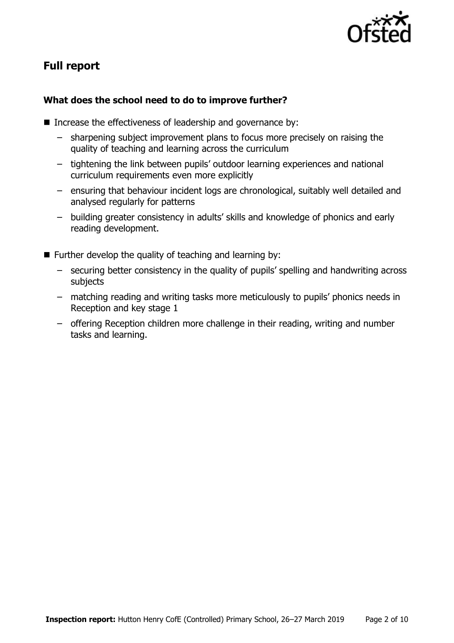

# **Full report**

## **What does the school need to do to improve further?**

- Increase the effectiveness of leadership and governance by:
	- sharpening subject improvement plans to focus more precisely on raising the quality of teaching and learning across the curriculum
	- tightening the link between pupils' outdoor learning experiences and national curriculum requirements even more explicitly
	- ensuring that behaviour incident logs are chronological, suitably well detailed and analysed regularly for patterns
	- building greater consistency in adults' skills and knowledge of phonics and early reading development.
- **Further develop the quality of teaching and learning by:** 
	- securing better consistency in the quality of pupils' spelling and handwriting across subjects
	- matching reading and writing tasks more meticulously to pupils' phonics needs in Reception and key stage 1
	- offering Reception children more challenge in their reading, writing and number tasks and learning.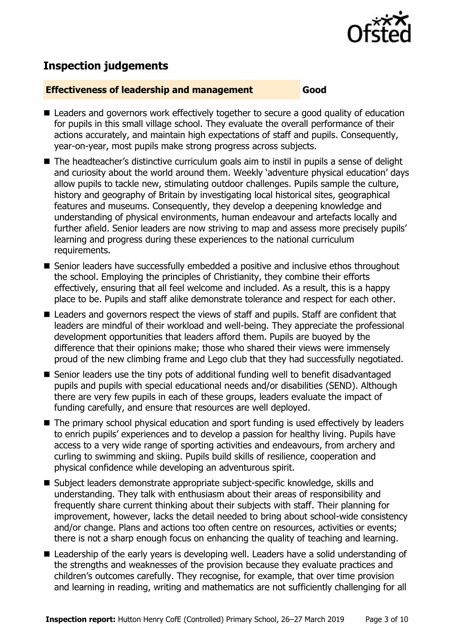

## **Inspection judgements**

#### **Effectiveness of leadership and management Good**

- Leaders and governors work effectively together to secure a good quality of education for pupils in this small village school. They evaluate the overall performance of their actions accurately, and maintain high expectations of staff and pupils. Consequently, year-on-year, most pupils make strong progress across subjects.
- The headteacher's distinctive curriculum goals aim to instil in pupils a sense of delight and curiosity about the world around them. Weekly 'adventure physical education' days allow pupils to tackle new, stimulating outdoor challenges. Pupils sample the culture, history and geography of Britain by investigating local historical sites, geographical features and museums. Consequently, they develop a deepening knowledge and understanding of physical environments, human endeavour and artefacts locally and further afield. Senior leaders are now striving to map and assess more precisely pupils' learning and progress during these experiences to the national curriculum requirements.
- Senior leaders have successfully embedded a positive and inclusive ethos throughout the school. Employing the principles of Christianity, they combine their efforts effectively, ensuring that all feel welcome and included. As a result, this is a happy place to be. Pupils and staff alike demonstrate tolerance and respect for each other.
- Leaders and governors respect the views of staff and pupils. Staff are confident that leaders are mindful of their workload and well-being. They appreciate the professional development opportunities that leaders afford them. Pupils are buoyed by the difference that their opinions make; those who shared their views were immensely proud of the new climbing frame and Lego club that they had successfully negotiated.
- Senior leaders use the tiny pots of additional funding well to benefit disadvantaged pupils and pupils with special educational needs and/or disabilities (SEND). Although there are very few pupils in each of these groups, leaders evaluate the impact of funding carefully, and ensure that resources are well deployed.
- The primary school physical education and sport funding is used effectively by leaders to enrich pupils' experiences and to develop a passion for healthy living. Pupils have access to a very wide range of sporting activities and endeavours, from archery and curling to swimming and skiing. Pupils build skills of resilience, cooperation and physical confidence while developing an adventurous spirit.
- Subject leaders demonstrate appropriate subject-specific knowledge, skills and understanding. They talk with enthusiasm about their areas of responsibility and frequently share current thinking about their subjects with staff. Their planning for improvement, however, lacks the detail needed to bring about school-wide consistency and/or change. Plans and actions too often centre on resources, activities or events; there is not a sharp enough focus on enhancing the quality of teaching and learning.
- Leadership of the early years is developing well. Leaders have a solid understanding of the strengths and weaknesses of the provision because they evaluate practices and children's outcomes carefully. They recognise, for example, that over time provision and learning in reading, writing and mathematics are not sufficiently challenging for all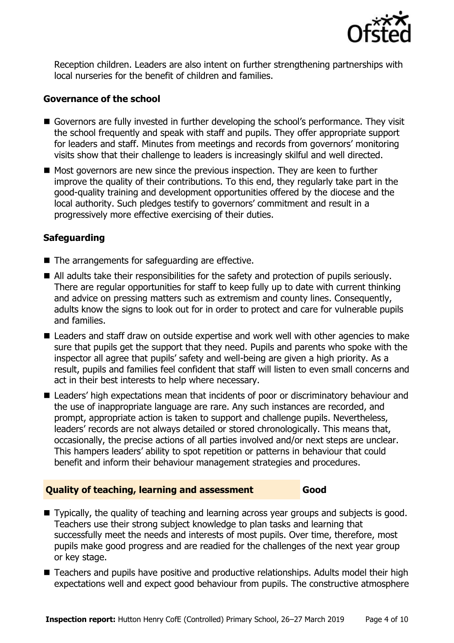

Reception children. Leaders are also intent on further strengthening partnerships with local nurseries for the benefit of children and families.

#### **Governance of the school**

- Governors are fully invested in further developing the school's performance. They visit the school frequently and speak with staff and pupils. They offer appropriate support for leaders and staff. Minutes from meetings and records from governors' monitoring visits show that their challenge to leaders is increasingly skilful and well directed.
- $\blacksquare$  Most governors are new since the previous inspection. They are keen to further improve the quality of their contributions. To this end, they regularly take part in the good-quality training and development opportunities offered by the diocese and the local authority. Such pledges testify to governors' commitment and result in a progressively more effective exercising of their duties.

## **Safeguarding**

- The arrangements for safeguarding are effective.
- All adults take their responsibilities for the safety and protection of pupils seriously. There are regular opportunities for staff to keep fully up to date with current thinking and advice on pressing matters such as extremism and county lines. Consequently, adults know the signs to look out for in order to protect and care for vulnerable pupils and families.
- Leaders and staff draw on outside expertise and work well with other agencies to make sure that pupils get the support that they need. Pupils and parents who spoke with the inspector all agree that pupils' safety and well-being are given a high priority. As a result, pupils and families feel confident that staff will listen to even small concerns and act in their best interests to help where necessary.
- Leaders' high expectations mean that incidents of poor or discriminatory behaviour and the use of inappropriate language are rare. Any such instances are recorded, and prompt, appropriate action is taken to support and challenge pupils. Nevertheless, leaders' records are not always detailed or stored chronologically. This means that, occasionally, the precise actions of all parties involved and/or next steps are unclear. This hampers leaders' ability to spot repetition or patterns in behaviour that could benefit and inform their behaviour management strategies and procedures.

#### **Quality of teaching, learning and assessment Good**

- Typically, the quality of teaching and learning across year groups and subjects is good. Teachers use their strong subject knowledge to plan tasks and learning that successfully meet the needs and interests of most pupils. Over time, therefore, most pupils make good progress and are readied for the challenges of the next year group or key stage.
- Teachers and pupils have positive and productive relationships. Adults model their high expectations well and expect good behaviour from pupils. The constructive atmosphere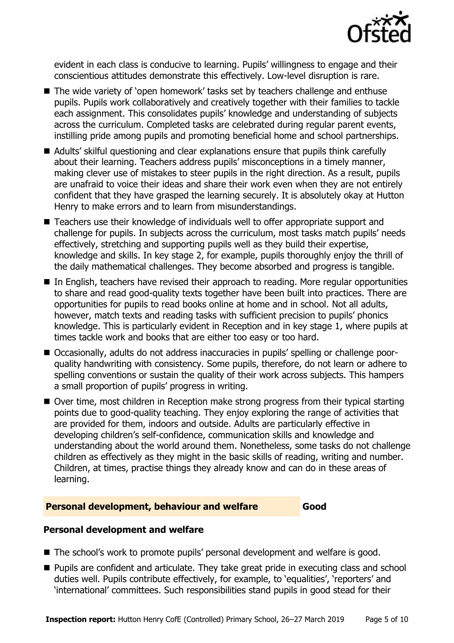

evident in each class is conducive to learning. Pupils' willingness to engage and their conscientious attitudes demonstrate this effectively. Low-level disruption is rare.

- The wide variety of 'open homework' tasks set by teachers challenge and enthuse pupils. Pupils work collaboratively and creatively together with their families to tackle each assignment. This consolidates pupils' knowledge and understanding of subjects across the curriculum. Completed tasks are celebrated during regular parent events, instilling pride among pupils and promoting beneficial home and school partnerships.
- Adults' skilful questioning and clear explanations ensure that pupils think carefully about their learning. Teachers address pupils' misconceptions in a timely manner, making clever use of mistakes to steer pupils in the right direction. As a result, pupils are unafraid to voice their ideas and share their work even when they are not entirely confident that they have grasped the learning securely. It is absolutely okay at Hutton Henry to make errors and to learn from misunderstandings.
- Teachers use their knowledge of individuals well to offer appropriate support and challenge for pupils. In subjects across the curriculum, most tasks match pupils' needs effectively, stretching and supporting pupils well as they build their expertise, knowledge and skills. In key stage 2, for example, pupils thoroughly enjoy the thrill of the daily mathematical challenges. They become absorbed and progress is tangible.
- In English, teachers have revised their approach to reading. More regular opportunities to share and read good-quality texts together have been built into practices. There are opportunities for pupils to read books online at home and in school. Not all adults, however, match texts and reading tasks with sufficient precision to pupils' phonics knowledge. This is particularly evident in Reception and in key stage 1, where pupils at times tackle work and books that are either too easy or too hard.
- Occasionally, adults do not address inaccuracies in pupils' spelling or challenge poorquality handwriting with consistency. Some pupils, therefore, do not learn or adhere to spelling conventions or sustain the quality of their work across subjects. This hampers a small proportion of pupils' progress in writing.
- Over time, most children in Reception make strong progress from their typical starting points due to good-quality teaching. They enjoy exploring the range of activities that are provided for them, indoors and outside. Adults are particularly effective in developing children's self-confidence, communication skills and knowledge and understanding about the world around them. Nonetheless, some tasks do not challenge children as effectively as they might in the basic skills of reading, writing and number. Children, at times, practise things they already know and can do in these areas of learning.

#### **Personal development, behaviour and welfare Good**

## **Personal development and welfare**

- The school's work to promote pupils' personal development and welfare is good.
- **Pupils are confident and articulate. They take great pride in executing class and school** duties well. Pupils contribute effectively, for example, to 'equalities', 'reporters' and 'international' committees. Such responsibilities stand pupils in good stead for their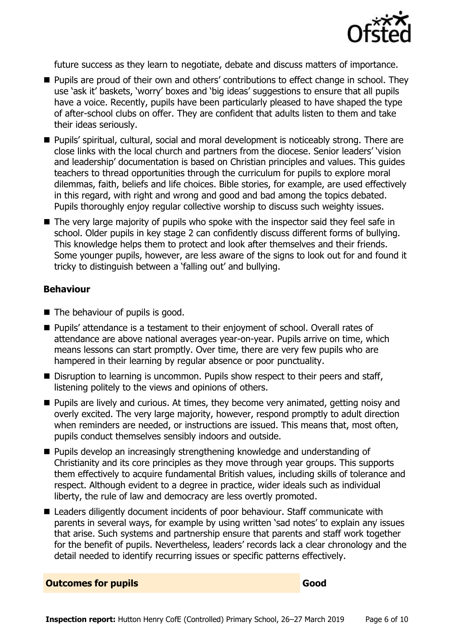

future success as they learn to negotiate, debate and discuss matters of importance.

- **Pupils are proud of their own and others' contributions to effect change in school. They** use 'ask it' baskets, 'worry' boxes and 'big ideas' suggestions to ensure that all pupils have a voice. Recently, pupils have been particularly pleased to have shaped the type of after-school clubs on offer. They are confident that adults listen to them and take their ideas seriously.
- Pupils' spiritual, cultural, social and moral development is noticeably strong. There are close links with the local church and partners from the diocese. Senior leaders' 'vision and leadership' documentation is based on Christian principles and values. This guides teachers to thread opportunities through the curriculum for pupils to explore moral dilemmas, faith, beliefs and life choices. Bible stories, for example, are used effectively in this regard, with right and wrong and good and bad among the topics debated. Pupils thoroughly enjoy regular collective worship to discuss such weighty issues.
- The very large majority of pupils who spoke with the inspector said they feel safe in school. Older pupils in key stage 2 can confidently discuss different forms of bullying. This knowledge helps them to protect and look after themselves and their friends. Some younger pupils, however, are less aware of the signs to look out for and found it tricky to distinguish between a 'falling out' and bullying.

#### **Behaviour**

- The behaviour of pupils is good.
- Pupils' attendance is a testament to their enjoyment of school. Overall rates of attendance are above national averages year-on-year. Pupils arrive on time, which means lessons can start promptly. Over time, there are very few pupils who are hampered in their learning by regular absence or poor punctuality.
- Disruption to learning is uncommon. Pupils show respect to their peers and staff, listening politely to the views and opinions of others.
- **Pupils are lively and curious. At times, they become very animated, getting noisy and** overly excited. The very large majority, however, respond promptly to adult direction when reminders are needed, or instructions are issued. This means that, most often, pupils conduct themselves sensibly indoors and outside.
- **Pupils develop an increasingly strengthening knowledge and understanding of** Christianity and its core principles as they move through year groups. This supports them effectively to acquire fundamental British values, including skills of tolerance and respect. Although evident to a degree in practice, wider ideals such as individual liberty, the rule of law and democracy are less overtly promoted.
- Leaders diligently document incidents of poor behaviour. Staff communicate with parents in several ways, for example by using written 'sad notes' to explain any issues that arise. Such systems and partnership ensure that parents and staff work together for the benefit of pupils. Nevertheless, leaders' records lack a clear chronology and the detail needed to identify recurring issues or specific patterns effectively.

**Outcomes for pupils Good**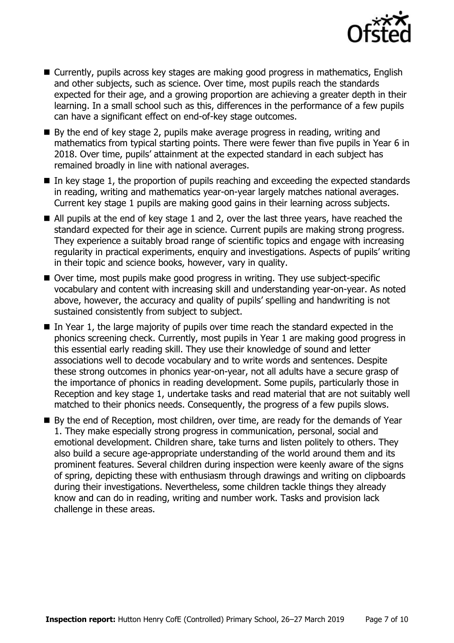

- Currently, pupils across key stages are making good progress in mathematics, English and other subjects, such as science. Over time, most pupils reach the standards expected for their age, and a growing proportion are achieving a greater depth in their learning. In a small school such as this, differences in the performance of a few pupils can have a significant effect on end-of-key stage outcomes.
- By the end of key stage 2, pupils make average progress in reading, writing and mathematics from typical starting points. There were fewer than five pupils in Year 6 in 2018. Over time, pupils' attainment at the expected standard in each subject has remained broadly in line with national averages.
- $\blacksquare$  In key stage 1, the proportion of pupils reaching and exceeding the expected standards in reading, writing and mathematics year-on-year largely matches national averages. Current key stage 1 pupils are making good gains in their learning across subjects.
- All pupils at the end of key stage 1 and 2, over the last three years, have reached the standard expected for their age in science. Current pupils are making strong progress. They experience a suitably broad range of scientific topics and engage with increasing regularity in practical experiments, enquiry and investigations. Aspects of pupils' writing in their topic and science books, however, vary in quality.
- Over time, most pupils make good progress in writing. They use subject-specific vocabulary and content with increasing skill and understanding year-on-year. As noted above, however, the accuracy and quality of pupils' spelling and handwriting is not sustained consistently from subject to subject.
- $\blacksquare$  In Year 1, the large majority of pupils over time reach the standard expected in the phonics screening check. Currently, most pupils in Year 1 are making good progress in this essential early reading skill. They use their knowledge of sound and letter associations well to decode vocabulary and to write words and sentences. Despite these strong outcomes in phonics year-on-year, not all adults have a secure grasp of the importance of phonics in reading development. Some pupils, particularly those in Reception and key stage 1, undertake tasks and read material that are not suitably well matched to their phonics needs. Consequently, the progress of a few pupils slows.
- By the end of Reception, most children, over time, are ready for the demands of Year 1. They make especially strong progress in communication, personal, social and emotional development. Children share, take turns and listen politely to others. They also build a secure age-appropriate understanding of the world around them and its prominent features. Several children during inspection were keenly aware of the signs of spring, depicting these with enthusiasm through drawings and writing on clipboards during their investigations. Nevertheless, some children tackle things they already know and can do in reading, writing and number work. Tasks and provision lack challenge in these areas.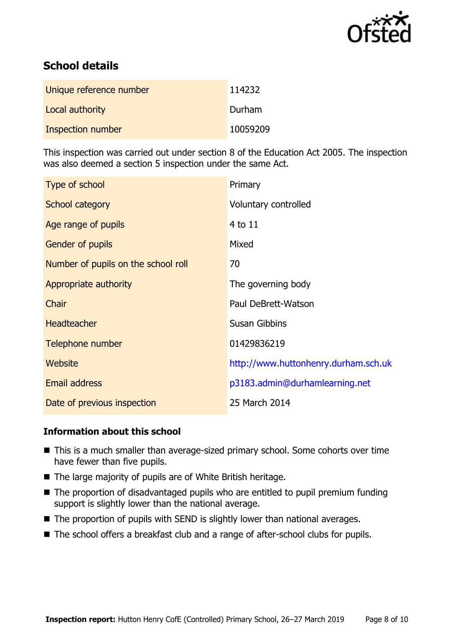

# **School details**

| Unique reference number | 114232   |
|-------------------------|----------|
| Local authority         | Durham   |
| Inspection number       | 10059209 |

This inspection was carried out under section 8 of the Education Act 2005. The inspection was also deemed a section 5 inspection under the same Act.

| Type of school                      | Primary                              |
|-------------------------------------|--------------------------------------|
| School category                     | Voluntary controlled                 |
| Age range of pupils                 | 4 to 11                              |
| Gender of pupils                    | Mixed                                |
| Number of pupils on the school roll | 70                                   |
| Appropriate authority               | The governing body                   |
| Chair                               | Paul DeBrett-Watson                  |
| <b>Headteacher</b>                  | <b>Susan Gibbins</b>                 |
| Telephone number                    | 01429836219                          |
| <b>Website</b>                      | http://www.huttonhenry.durham.sch.uk |
| Email address                       | p3183.admin@durhamlearning.net       |
| Date of previous inspection         | 25 March 2014                        |

## **Information about this school**

- This is a much smaller than average-sized primary school. Some cohorts over time have fewer than five pupils.
- The large majority of pupils are of White British heritage.
- The proportion of disadvantaged pupils who are entitled to pupil premium funding support is slightly lower than the national average.
- The proportion of pupils with SEND is slightly lower than national averages.
- The school offers a breakfast club and a range of after-school clubs for pupils.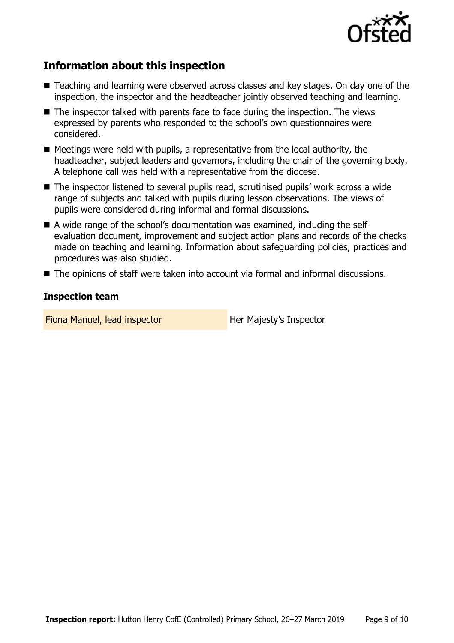

## **Information about this inspection**

- Teaching and learning were observed across classes and key stages. On day one of the inspection, the inspector and the headteacher jointly observed teaching and learning.
- The inspector talked with parents face to face during the inspection. The views expressed by parents who responded to the school's own questionnaires were considered.
- $\blacksquare$  Meetings were held with pupils, a representative from the local authority, the headteacher, subject leaders and governors, including the chair of the governing body. A telephone call was held with a representative from the diocese.
- The inspector listened to several pupils read, scrutinised pupils' work across a wide range of subjects and talked with pupils during lesson observations. The views of pupils were considered during informal and formal discussions.
- A wide range of the school's documentation was examined, including the selfevaluation document, improvement and subject action plans and records of the checks made on teaching and learning. Information about safeguarding policies, practices and procedures was also studied.
- The opinions of staff were taken into account via formal and informal discussions.

#### **Inspection team**

Fiona Manuel, lead inspector **Her Majesty's Inspector**